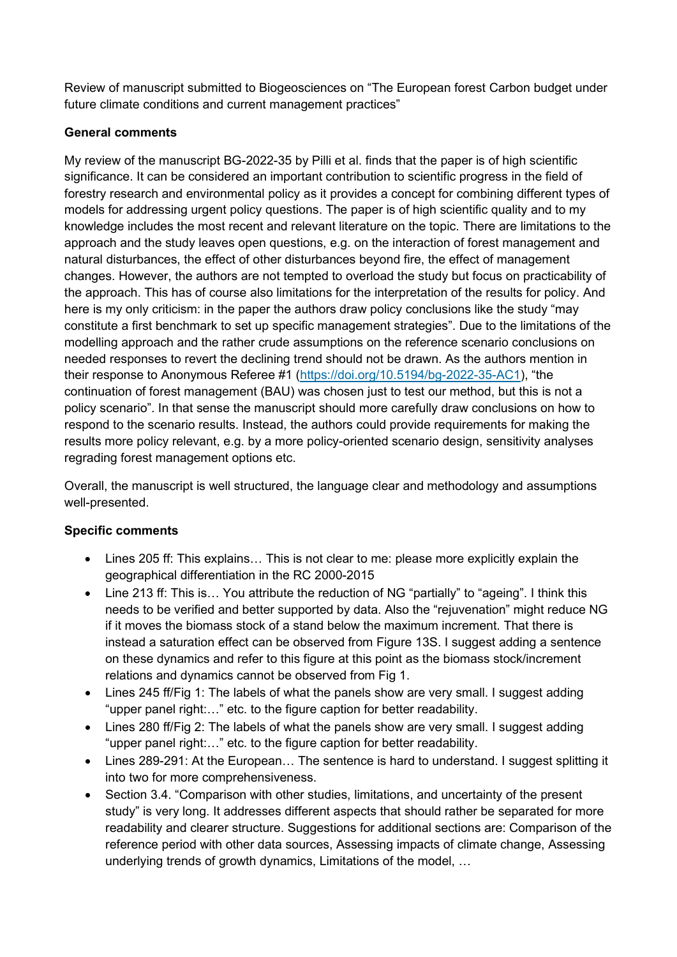Review of manuscript submitted to Biogeosciences on "The European forest Carbon budget under future climate conditions and current management practices"

## **General comments**

My review of the manuscript BG-2022-35 by Pilli et al. finds that the paper is of high scientific significance. It can be considered an important contribution to scientific progress in the field of forestry research and environmental policy as it provides a concept for combining different types of models for addressing urgent policy questions. The paper is of high scientific quality and to my knowledge includes the most recent and relevant literature on the topic. There are limitations to the approach and the study leaves open questions, e.g. on the interaction of forest management and natural disturbances, the effect of other disturbances beyond fire, the effect of management changes. However, the authors are not tempted to overload the study but focus on practicability of the approach. This has of course also limitations for the interpretation of the results for policy. And here is my only criticism: in the paper the authors draw policy conclusions like the study "may constitute a first benchmark to set up specific management strategies". Due to the limitations of the modelling approach and the rather crude assumptions on the reference scenario conclusions on needed responses to revert the declining trend should not be drawn. As the authors mention in their response to Anonymous Referee #1 [\(https://doi.org/10.5194/bg-2022-35-AC1\)](https://doi.org/10.5194/bg-2022-35-AC1), "the continuation of forest management (BAU) was chosen just to test our method, but this is not a policy scenario". In that sense the manuscript should more carefully draw conclusions on how to respond to the scenario results. Instead, the authors could provide requirements for making the results more policy relevant, e.g. by a more policy-oriented scenario design, sensitivity analyses regrading forest management options etc.

Overall, the manuscript is well structured, the language clear and methodology and assumptions well-presented.

## **Specific comments**

- Lines 205 ff: This explains… This is not clear to me: please more explicitly explain the geographical differentiation in the RC 2000-2015
- Line 213 ff: This is… You attribute the reduction of NG "partially" to "ageing". I think this needs to be verified and better supported by data. Also the "rejuvenation" might reduce NG if it moves the biomass stock of a stand below the maximum increment. That there is instead a saturation effect can be observed from Figure 13S. I suggest adding a sentence on these dynamics and refer to this figure at this point as the biomass stock/increment relations and dynamics cannot be observed from Fig 1.
- Lines 245 ff/Fig 1: The labels of what the panels show are very small. I suggest adding "upper panel right:…" etc. to the figure caption for better readability.
- Lines 280 ff/Fig 2: The labels of what the panels show are very small. I suggest adding "upper panel right:…" etc. to the figure caption for better readability.
- Lines 289-291: At the European… The sentence is hard to understand. I suggest splitting it into two for more comprehensiveness.
- Section 3.4. "Comparison with other studies, limitations, and uncertainty of the present study" is very long. It addresses different aspects that should rather be separated for more readability and clearer structure. Suggestions for additional sections are: Comparison of the reference period with other data sources, Assessing impacts of climate change, Assessing underlying trends of growth dynamics, Limitations of the model, …